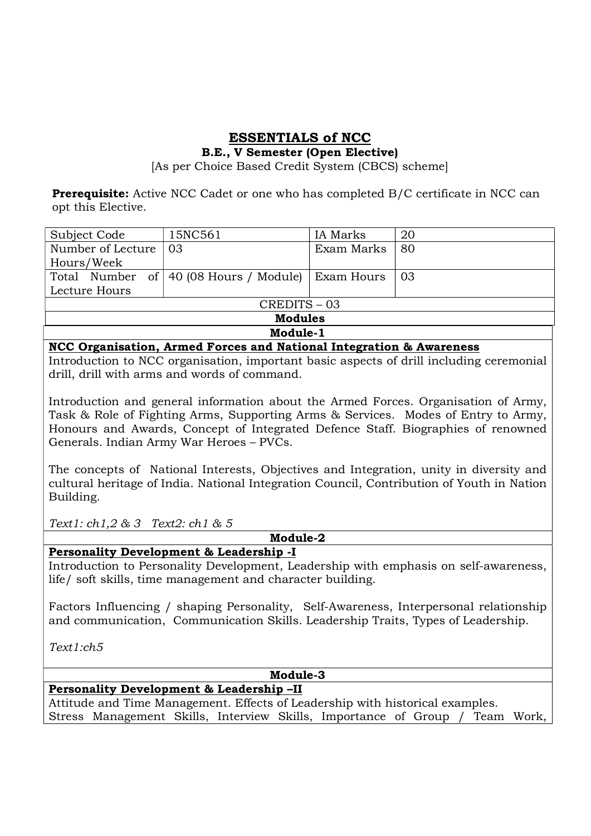# ESSENTIALS of NCC

## B.E., V Semester (Open Elective)

[As per Choice Based Credit System (CBCS) scheme]

**Prerequisite:** Active NCC Cadet or one who has completed B/C certificate in NCC can opt this Elective.

| Subject Code      | 15NC561                                           | IA Marks   | 20 |
|-------------------|---------------------------------------------------|------------|----|
| Number of Lecture | -03                                               | Exam Marks | 80 |
| Hours/Week        |                                                   |            |    |
|                   | Total Number of 40 (08 Hours / Module) Exam Hours |            | 03 |
| Lecture Hours     |                                                   |            |    |
| CREDITS-03        |                                                   |            |    |
| <b>Modules</b>    |                                                   |            |    |
| Module-1          |                                                   |            |    |

### NCC Organisation, Armed Forces and National Integration & Awareness

Introduction to NCC organisation, important basic aspects of drill including ceremonial drill, drill with arms and words of command.

Introduction and general information about the Armed Forces. Organisation of Army, Task & Role of Fighting Arms, Supporting Arms & Services. Modes of Entry to Army, Honours and Awards, Concept of Integrated Defence Staff. Biographies of renowned Generals. Indian Army War Heroes – PVCs.

The concepts of National Interests, Objectives and Integration, unity in diversity and cultural heritage of India. National Integration Council, Contribution of Youth in Nation Building.

Text1: ch1,2 & 3 Text2: ch1 & 5

Module-2

# Personality Development & Leadership -I

Introduction to Personality Development, Leadership with emphasis on self-awareness, life/ soft skills, time management and character building.

Factors Influencing / shaping Personality, Self-Awareness, Interpersonal relationship and communication, Communication Skills. Leadership Traits, Types of Leadership.

Text1:ch5

Module-3

# Personality Development & Leadership –II

Attitude and Time Management. Effects of Leadership with historical examples. Stress Management Skills, Interview Skills, Importance of Group / Team Work,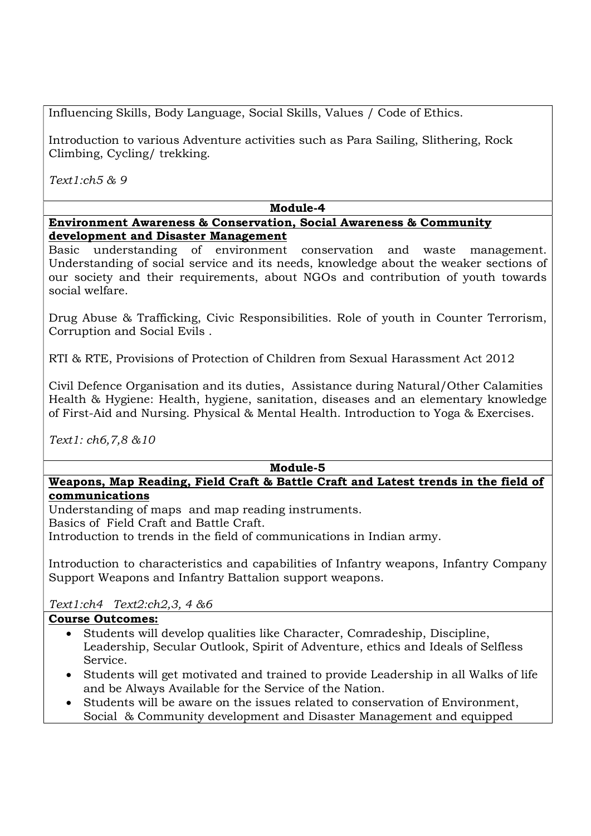Influencing Skills, Body Language, Social Skills, Values / Code of Ethics.

Introduction to various Adventure activities such as Para Sailing, Slithering, Rock Climbing, Cycling/ trekking.

Text1:ch5 & 9

# Module-4

Environment Awareness & Conservation, Social Awareness & Community development and Disaster Management

Basic understanding of environment conservation and waste management. Understanding of social service and its needs, knowledge about the weaker sections of our society and their requirements, about NGOs and contribution of youth towards social welfare.

Drug Abuse & Trafficking, Civic Responsibilities. Role of youth in Counter Terrorism, Corruption and Social Evils .

RTI & RTE, Provisions of Protection of Children from Sexual Harassment Act 2012

Civil Defence Organisation and its duties, Assistance during Natural/Other Calamities Health & Hygiene: Health, hygiene, sanitation, diseases and an elementary knowledge of First-Aid and Nursing. Physical & Mental Health. Introduction to Yoga & Exercises.

Text1: ch6,7,8 &10

Module-5

# Weapons, Map Reading, Field Craft & Battle Craft and Latest trends in the field of communications

Understanding of maps and map reading instruments.

Basics of Field Craft and Battle Craft.

Introduction to trends in the field of communications in Indian army.

Introduction to characteristics and capabilities of Infantry weapons, Infantry Company Support Weapons and Infantry Battalion support weapons.

Text1:ch4 Text2:ch2,3, 4 &6

# Course Outcomes:

- Students will develop qualities like Character, Comradeship, Discipline, Leadership, Secular Outlook, Spirit of Adventure, ethics and Ideals of Selfless Service.
- Students will get motivated and trained to provide Leadership in all Walks of life and be Always Available for the Service of the Nation.
- Students will be aware on the issues related to conservation of Environment, Social & Community development and Disaster Management and equipped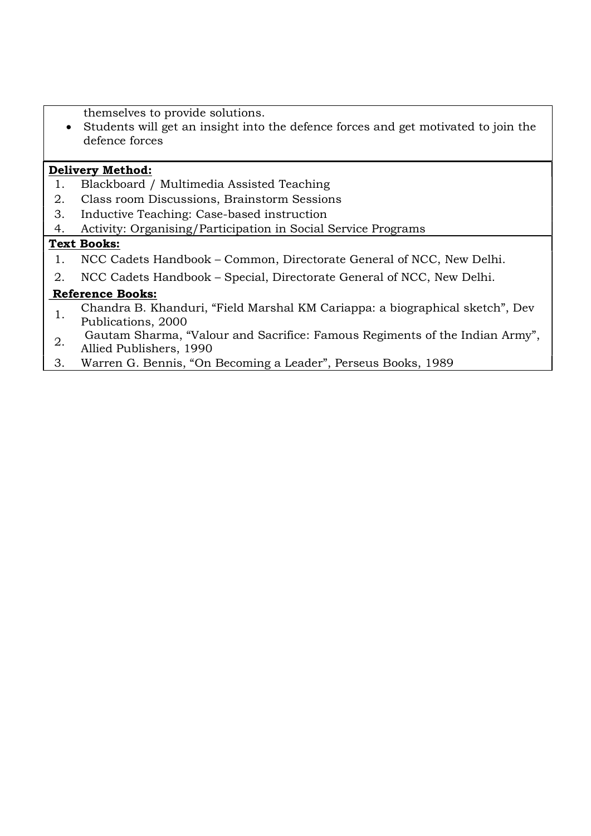themselves to provide solutions.

 Students will get an insight into the defence forces and get motivated to join the defence forces

## Delivery Method:

- 1. Blackboard / Multimedia Assisted Teaching
- 2. Class room Discussions, Brainstorm Sessions
- 3. Inductive Teaching: Case-based instruction
- 4. Activity: Organising/Participation in Social Service Programs

## Text Books:

- 1. NCC Cadets Handbook Common, Directorate General of NCC, New Delhi.
- 2. NCC Cadets Handbook Special, Directorate General of NCC, New Delhi.

## Reference Books:

- 1. Chandra B. Khanduri, "Field Marshal KM Cariappa: a biographical sketch", Dev
- Publications, 2000
- 2. Gautam Sharma, "Valour and Sacrifice: Famous Regiments of the Indian Army",
- Allied Publishers, 1990
- 3. Warren G. Bennis, "On Becoming a Leader", Perseus Books, 1989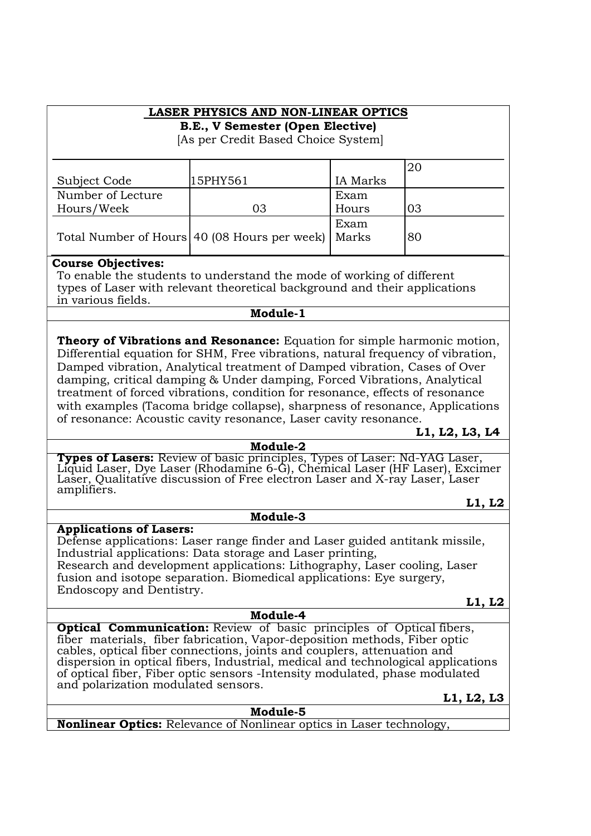# LASER PHYSICS AND NON-LINEAR OPTICS

B.E., V Semester (Open Elective)

[As per Credit Based Choice System]

| Subject Code      | 15PHY561                                             | <b>IA</b> Marks |    |
|-------------------|------------------------------------------------------|-----------------|----|
| Number of Lecture |                                                      | Exam            |    |
| Hours/Week        | 03                                                   | Hours           | 03 |
|                   |                                                      | Exam            |    |
|                   | Total Number of Hours 40 (08 Hours per week)   Marks |                 | 80 |
|                   |                                                      |                 |    |

#### Course Objectives:

To enable the students to understand the mode of working of different types of Laser with relevant theoretical background and their applications in various fields.

## Module-1

Theory of Vibrations and Resonance: Equation for simple harmonic motion, Differential equation for SHM, Free vibrations, natural frequency of vibration, Damped vibration, Analytical treatment of Damped vibration, Cases of Over damping, critical damping & Under damping, Forced Vibrations, Analytical treatment of forced vibrations, condition for resonance, effects of resonance with examples (Tacoma bridge collapse), sharpness of resonance, Applications of resonance: Acoustic cavity resonance, Laser cavity resonance.

## L1, L2, L3, L4

#### Module-2

**Types of Lasers:** Review of basic principles, Types of Laser: Nd-YAG Laser, Liquid Laser, Dye Laser (Rhodamine 6-G), Chemical Laser (HF Laser), Excimer Laser, Qualitative discussion of Free electron Laser and X-ray Laser, Laser amplifiers.

#### Module-3

### Applications of Lasers:

Defense applications: Laser range finder and Laser guided antitank missile, Industrial applications: Data storage and Laser printing, Research and development applications: Lithography, Laser cooling, Laser fusion and isotope separation. Biomedical applications: Eye surgery, Endoscopy and Dentistry.

### L1, L2

L1, L2

Module-4 **Optical Communication:** Review of basic principles of Optical fibers, fiber materials, fiber fabrication, Vapor-deposition methods, Fiber optic cables, optical fiber connections, joints and couplers, attenuation and dispersion in optical fibers, Industrial, medical and technological applications of optical fiber, Fiber optic sensors -Intensity modulated, phase modulated and polarization modulated sensors.

Module-5

L1, L2, L3

Nonlinear Optics: Relevance of Nonlinear optics in Laser technology,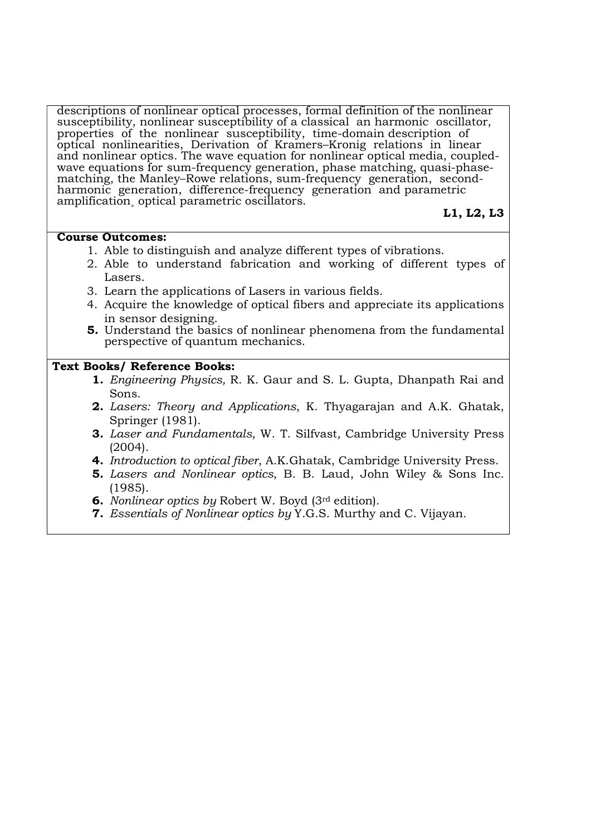descriptions of nonlinear optical processes, formal definition of the nonlinear susceptibility, nonlinear susceptibility of a classical an harmonic oscillator, properties of the nonlinear susceptibility, time-domain description of optical nonlinearities, Derivation of Kramers–Kronig relations in linear and nonlinear optics. The wave equation for nonlinear optical media, coupledwave equations for sum-frequency generation, phase matching, quasi-phasematching, the Manley–Rowe relations, sum-frequency generation, secondharmonic generation, difference-frequency generation and parametric amplification¸ optical parametric oscillators.

## L1, L2, L3

### Course Outcomes:

- 1. Able to distinguish and analyze different types of vibrations.
- 2. Able to understand fabrication and working of different types of Lasers.
- 3. Learn the applications of Lasers in various fields.
- 4. Acquire the knowledge of optical fibers and appreciate its applications in sensor designing.
- 5. Understand the basics of nonlinear phenomena from the fundamental perspective of quantum mechanics.

## Text Books/ Reference Books:

- 1. Engineering Physics, R. K. Gaur and S. L. Gupta, Dhanpath Rai and Sons.
- 2. Lasers: Theory and Applications, K. Thyagarajan and A.K. Ghatak, Springer (1981).
- 3. Laser and Fundamentals, W. T. Silfvast, Cambridge University Press (2004).
- 4. Introduction to optical fiber, A.K.Ghatak, Cambridge University Press.
- 5. Lasers and Nonlinear optics, B. B. Laud, John Wiley & Sons Inc. (1985).
- 6. Nonlinear optics by Robert W. Boyd (3rd edition).
- 7. Essentials of Nonlinear optics by Y.G.S. Murthy and C. Vijayan.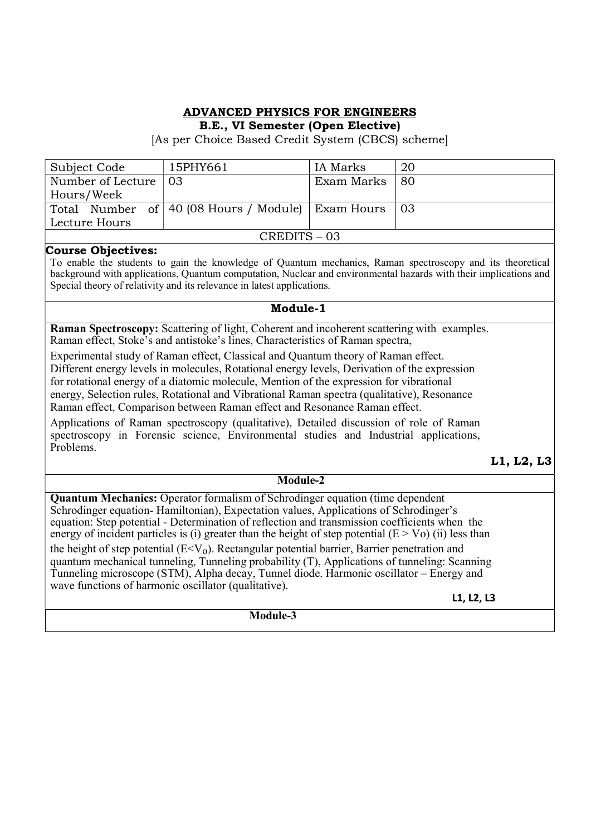# ADVANCED PHYSICS FOR ENGINEERS

B.E., VI Semester (Open Elective)

[As per Choice Based Credit System (CBCS) scheme]

| Subject Code                 | 15PHY661                                                   | IA Marks        | 20 |
|------------------------------|------------------------------------------------------------|-----------------|----|
| Number of Lecture $\vert$ 03 |                                                            | Exam Marks   80 |    |
| Hours/Week                   |                                                            |                 |    |
|                              | Total Number of   40 (08 Hours / Module)   Exam Hours   03 |                 |    |
| Lecture Hours                |                                                            |                 |    |
| CREDITS-03                   |                                                            |                 |    |

### Course Objectives:

To enable the students to gain the knowledge of Quantum mechanics, Raman spectroscopy and its theoretical background with applications, Quantum computation, Nuclear and environmental hazards with their implications and Special theory of relativity and its relevance in latest applications.

#### Module-1

Raman Spectroscopy: Scattering of light, Coherent and incoherent scattering with examples. Raman effect, Stoke's and antistoke's lines, Characteristics of Raman spectra,

Experimental study of Raman effect, Classical and Quantum theory of Raman effect.

Different energy levels in molecules, Rotational energy levels, Derivation of the expression for rotational energy of a diatomic molecule, Mention of the expression for vibrational

energy, Selection rules, Rotational and Vibrational Raman spectra (qualitative), Resonance Raman effect, Comparison between Raman effect and Resonance Raman effect.

Applications of Raman spectroscopy (qualitative), Detailed discussion of role of Raman spectroscopy in Forensic science, Environmental studies and Industrial applications, Problems.

## L1, L2, L3

#### Module-2

Quantum Mechanics: Operator formalism of Schrodinger equation (time dependent Schrodinger equation- Hamiltonian), Expectation values, Applications of Schrodinger's equation: Step potential - Determination of reflection and transmission coefficients when the energy of incident particles is (i) greater than the height of step potential  $(E > Vo)$  (ii) less than the height of step potential  $(E \le V_0)$ . Rectangular potential barrier, Barrier penetration and quantum mechanical tunneling, Tunneling probability (T), Applications of tunneling: Scanning Tunneling microscope (STM), Alpha decay, Tunnel diode. Harmonic oscillator – Energy and wave functions of harmonic oscillator (qualitative).

L1, L2, L3

Module-3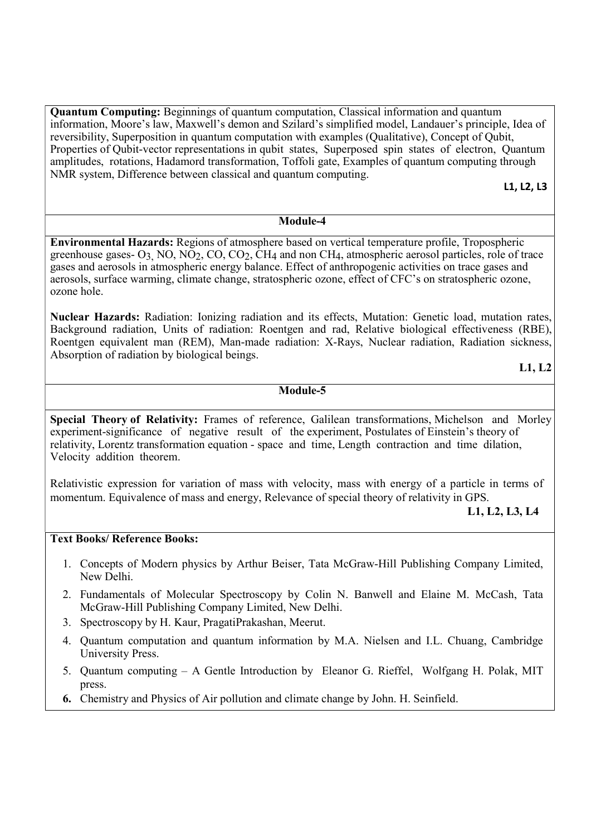Quantum Computing: Beginnings of quantum computation, Classical information and quantum information, Moore's law, Maxwell's demon and Szilard's simplified model, Landauer's principle, Idea of reversibility, Superposition in quantum computation with examples (Qualitative), Concept of Qubit, Properties of Qubit-vector representations in qubit states, Superposed spin states of electron, Quantum amplitudes, rotations, Hadamord transformation, Toffoli gate, Examples of quantum computing through NMR system, Difference between classical and quantum computing.

L1, L2, L3

#### Module-4

Environmental Hazards: Regions of atmosphere based on vertical temperature profile, Tropospheric greenhouse gases- O3, NO, NO2, CO, CO2, CH4 and non CH4, atmospheric aerosol particles, role of trace gases and aerosols in atmospheric energy balance. Effect of anthropogenic activities on trace gases and aerosols, surface warming, climate change, stratospheric ozone, effect of CFC's on stratospheric ozone, ozone hole.

Nuclear Hazards: Radiation: Ionizing radiation and its effects, Mutation: Genetic load, mutation rates, Background radiation, Units of radiation: Roentgen and rad, Relative biological effectiveness (RBE), Roentgen equivalent man (REM), Man-made radiation: X-Rays, Nuclear radiation, Radiation sickness, Absorption of radiation by biological beings.

L1, L2

#### Module-5

Special Theory of Relativity: Frames of reference, Galilean transformations, Michelson and Morley experiment-significance of negative result of the experiment, Postulates of Einstein's theory of relativity, Lorentz transformation equation - space and time, Length contraction and time dilation, Velocity addition theorem.

Relativistic expression for variation of mass with velocity, mass with energy of a particle in terms of momentum. Equivalence of mass and energy, Relevance of special theory of relativity in GPS.

L1, L2, L3, L4

### Text Books/ Reference Books:

- 1. Concepts of Modern physics by Arthur Beiser, Tata McGraw-Hill Publishing Company Limited, New Delhi.
- 2. Fundamentals of Molecular Spectroscopy by Colin N. Banwell and Elaine M. McCash, Tata McGraw-Hill Publishing Company Limited, New Delhi.
- 3. Spectroscopy by H. Kaur, PragatiPrakashan, Meerut.
- 4. Quantum computation and quantum information by M.A. Nielsen and I.L. Chuang, Cambridge University Press.
- 5. Quantum computing A Gentle Introduction by Eleanor G. Rieffel, Wolfgang H. Polak, MIT press.
- 6. Chemistry and Physics of Air pollution and climate change by John. H. Seinfield.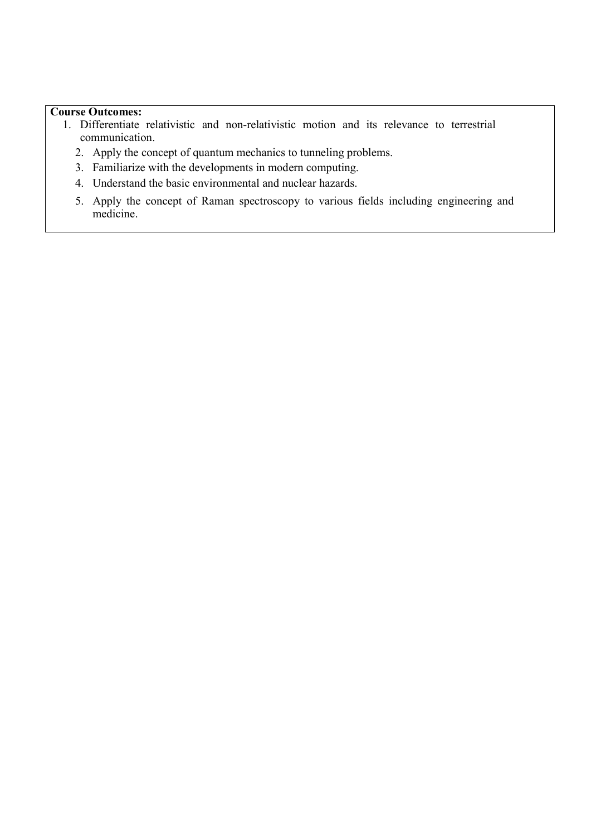## Course Outcomes:

- 1. Differentiate relativistic and non-relativistic motion and its relevance to terrestrial communication.
	- 2. Apply the concept of quantum mechanics to tunneling problems.
	- 3. Familiarize with the developments in modern computing.
	- 4. Understand the basic environmental and nuclear hazards.
	- 5. Apply the concept of Raman spectroscopy to various fields including engineering and medicine.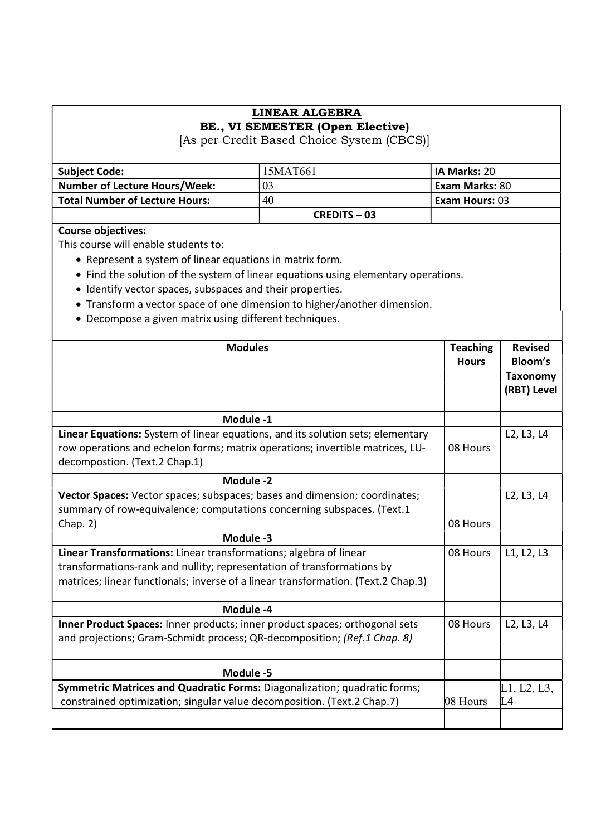## LINEAR ALGEBRA BE., VI SEMESTER (Open Elective)

[As per Credit Based Choice System (CBCS)]

| <b>Subject Code:</b>                  | 15MAT661       | <b>IIA Marks: 20</b> |
|---------------------------------------|----------------|----------------------|
| <b>Number of Lecture Hours/Week:</b>  | 03             | Exam Marks: 80       |
| <b>Total Number of Lecture Hours:</b> | 40             | l Exam Hours: 03     |
|                                       | $CREDITS - 03$ |                      |

## Course objectives:

This course will enable students to:

- Represent a system of linear equations in matrix form.
- Find the solution of the system of linear equations using elementary operations.
- Identify vector spaces, subspaces and their properties.
- Transform a vector space of one dimension to higher/another dimension.
- Decompose a given matrix using different techniques.

| <b>Modules</b>                                                                                                                                                                                                                   | <b>Teaching</b><br><b>Hours</b> | <b>Revised</b><br>Bloom's<br><b>Taxonomy</b><br>(RBT) Level |
|----------------------------------------------------------------------------------------------------------------------------------------------------------------------------------------------------------------------------------|---------------------------------|-------------------------------------------------------------|
| Module -1                                                                                                                                                                                                                        |                                 |                                                             |
| Linear Equations: System of linear equations, and its solution sets; elementary<br>row operations and echelon forms; matrix operations; invertible matrices, LU-<br>decompostion. (Text.2 Chap.1)                                | 08 Hours                        | L2, L3, L4                                                  |
| Module -2                                                                                                                                                                                                                        |                                 |                                                             |
| Vector Spaces: Vector spaces; subspaces; bases and dimension; coordinates;<br>summary of row-equivalence; computations concerning subspaces. (Text.1                                                                             |                                 | L2, L3, L4                                                  |
| Chap. 2)                                                                                                                                                                                                                         | 08 Hours                        |                                                             |
| Module -3                                                                                                                                                                                                                        |                                 |                                                             |
| Linear Transformations: Linear transformations; algebra of linear<br>transformations-rank and nullity; representation of transformations by<br>matrices; linear functionals; inverse of a linear transformation. (Text.2 Chap.3) | 08 Hours                        | L1, L2, L3                                                  |
| Module -4                                                                                                                                                                                                                        |                                 |                                                             |
| Inner Product Spaces: Inner products; inner product spaces; orthogonal sets<br>and projections; Gram-Schmidt process; QR-decomposition; (Ref.1 Chap. 8)                                                                          | 08 Hours                        | L2, L3, L4                                                  |
| Module -5                                                                                                                                                                                                                        |                                 |                                                             |
| Symmetric Matrices and Quadratic Forms: Diagonalization; quadratic forms;<br>constrained optimization; singular value decomposition. (Text.2 Chap.7)                                                                             | 08 Hours                        | L1, L2, L3,<br>L4                                           |